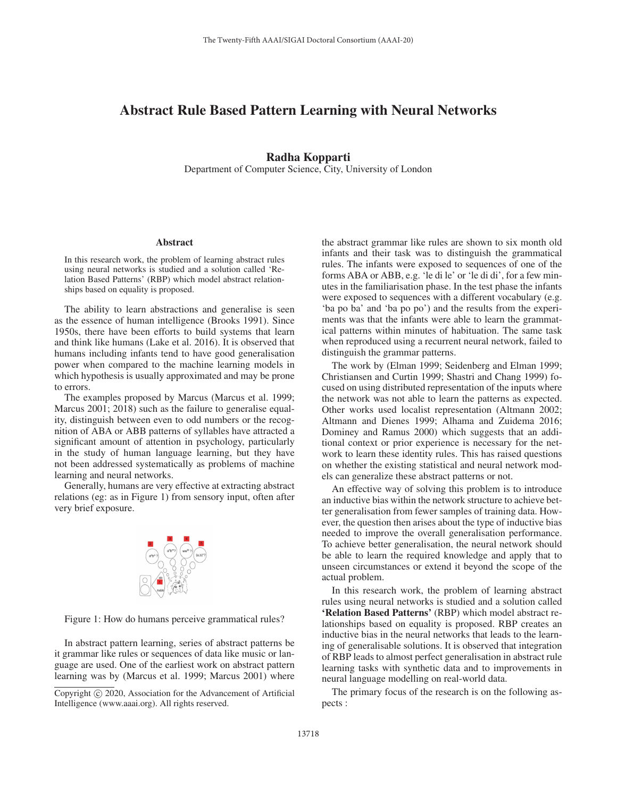## Abstract Rule Based Pattern Learning with Neural Networks

## Radha Kopparti

Department of Computer Science, City, University of London

## **Abstract**

In this research work, the problem of learning abstract rules using neural networks is studied and a solution called 'Relation Based Patterns' (RBP) which model abstract relationships based on equality is proposed.

The ability to learn abstractions and generalise is seen as the essence of human intelligence (Brooks 1991). Since 1950s, there have been efforts to build systems that learn and think like humans (Lake et al. 2016). It is observed that humans including infants tend to have good generalisation power when compared to the machine learning models in which hypothesis is usually approximated and may be prone to errors.

The examples proposed by Marcus (Marcus et al. 1999; Marcus 2001; 2018) such as the failure to generalise equality, distinguish between even to odd numbers or the recognition of ABA or ABB patterns of syllables have attracted a significant amount of attention in psychology, particularly in the study of human language learning, but they have not been addressed systematically as problems of machine learning and neural networks.

Generally, humans are very effective at extracting abstract relations (eg: as in Figure 1) from sensory input, often after very brief exposure.



Figure 1: How do humans perceive grammatical rules?

In abstract pattern learning, series of abstract patterns be it grammar like rules or sequences of data like music or language are used. One of the earliest work on abstract pattern learning was by (Marcus et al. 1999; Marcus 2001) where

the abstract grammar like rules are shown to six month old infants and their task was to distinguish the grammatical rules. The infants were exposed to sequences of one of the forms ABA or ABB, e.g. 'le di le' or 'le di di', for a few minutes in the familiarisation phase. In the test phase the infants were exposed to sequences with a different vocabulary (e.g. 'ba po ba' and 'ba po po') and the results from the experiments was that the infants were able to learn the grammatical patterns within minutes of habituation. The same task when reproduced using a recurrent neural network, failed to distinguish the grammar patterns.

The work by (Elman 1999; Seidenberg and Elman 1999; Christiansen and Curtin 1999; Shastri and Chang 1999) focused on using distributed representation of the inputs where the network was not able to learn the patterns as expected. Other works used localist representation (Altmann 2002; Altmann and Dienes 1999; Alhama and Zuidema 2016; Dominey and Ramus 2000) which suggests that an additional context or prior experience is necessary for the network to learn these identity rules. This has raised questions on whether the existing statistical and neural network models can generalize these abstract patterns or not.

An effective way of solving this problem is to introduce an inductive bias within the network structure to achieve better generalisation from fewer samples of training data. However, the question then arises about the type of inductive bias needed to improve the overall generalisation performance. To achieve better generalisation, the neural network should be able to learn the required knowledge and apply that to unseen circumstances or extend it beyond the scope of the actual problem.

In this research work, the problem of learning abstract rules using neural networks is studied and a solution called 'Relation Based Patterns' (RBP) which model abstract relationships based on equality is proposed. RBP creates an inductive bias in the neural networks that leads to the learning of generalisable solutions. It is observed that integration of RBP leads to almost perfect generalisation in abstract rule learning tasks with synthetic data and to improvements in neural language modelling on real-world data.

The primary focus of the research is on the following aspects :

Copyright  $\odot$  2020, Association for the Advancement of Artificial Intelligence (www.aaai.org). All rights reserved.